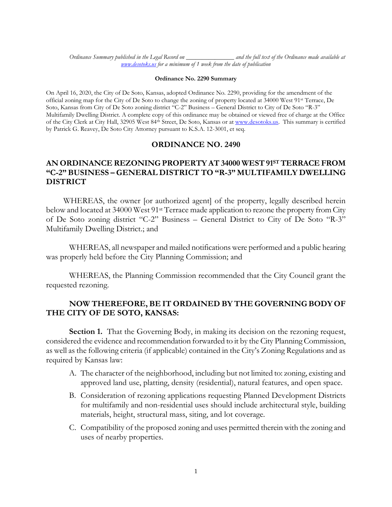*Ordinance Summary published in the Legal Record on \_\_\_\_\_\_\_\_\_\_\_\_\_\_\_ and the full text of the Ordinance made available at [www.desotoks.us](http://www.desotoks.us/) for a minimum of 1 week from the date of publication*

#### **Ordinance No. 2290 Summary**

On April 16, 2020, the City of De Soto, Kansas, adopted Ordinance No. 2290, providing for the amendment of the official zoning map for the City of De Soto to change the zoning of property located at 34000 West 91st Terrace, De Soto, Kansas from City of De Soto zoning district "C-2" Business – General District to City of De Soto "R-3" Multifamily Dwelling District. A complete copy of this ordinance may be obtained or viewed free of charge at the Office of the City Clerk at City Hall, 32905 West 84th Street, De Soto, Kansas or a[t www.desotoks.us.](http://www.desotoks.us/) This summary is certified by Patrick G. Reavey, De Soto City Attorney pursuant to K.S.A. 12-3001, et seq.

## **ORDINANCE NO. 2490**

### **AN ORDINANCE REZONING PROPERTY AT 34000 WEST 91ST TERRACE FROM "C-2" BUSINESS – GENERAL DISTRICT TO "R-3" MULTIFAMILY DWELLING DISTRICT**

WHEREAS, the owner [or authorized agent] of the property, legally described herein below and located at 34000 West 91st Terrace made application to rezone the property from City of De Soto zoning district "C-2" Business – General District to City of De Soto "R-3" Multifamily Dwelling District.; and

WHEREAS, all newspaper and mailed notifications were performed and a public hearing was properly held before the City Planning Commission; and

WHEREAS, the Planning Commission recommended that the City Council grant the requested rezoning.

### **NOW THEREFORE, BE IT ORDAINED BY THE GOVERNING BODY OF THE CITY OF DE SOTO, KANSAS:**

**Section 1.** That the Governing Body, in making its decision on the rezoning request, considered the evidence and recommendation forwarded to it by the City Planning Commission, as well as the following criteria (if applicable) contained in the City's Zoning Regulations and as required by Kansas law:

- A. The character of the neighborhood, including but not limited to: zoning, existing and approved land use, platting, density (residential), natural features, and open space.
- B. Consideration of rezoning applications requesting Planned Development Districts for multifamily and non-residential uses should include architectural style, building materials, height, structural mass, siting, and lot coverage.
- C. Compatibility of the proposed zoning and uses permitted therein with the zoning and uses of nearby properties.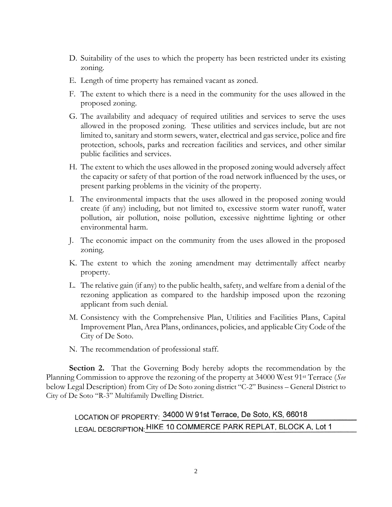- D. Suitability of the uses to which the property has been restricted under its existing zoning.
- E. Length of time property has remained vacant as zoned.
- F. The extent to which there is a need in the community for the uses allowed in the proposed zoning.
- G. The availability and adequacy of required utilities and services to serve the uses allowed in the proposed zoning. These utilities and services include, but are not limited to, sanitary and storm sewers, water, electrical and gas service, police and fire protection, schools, parks and recreation facilities and services, and other similar public facilities and services.
- H. The extent to which the uses allowed in the proposed zoning would adversely affect the capacity or safety of that portion of the road network influenced by the uses, or present parking problems in the vicinity of the property.
- I. The environmental impacts that the uses allowed in the proposed zoning would create (if any) including, but not limited to, excessive storm water runoff, water pollution, air pollution, noise pollution, excessive nighttime lighting or other environmental harm.
- J. The economic impact on the community from the uses allowed in the proposed zoning.
- K. The extent to which the zoning amendment may detrimentally affect nearby property.
- L. The relative gain (if any) to the public health, safety, and welfare from a denial of the rezoning application as compared to the hardship imposed upon the rezoning applicant from such denial.
- M. Consistency with the Comprehensive Plan, Utilities and Facilities Plans, Capital Improvement Plan, Area Plans, ordinances, policies, and applicable City Code of the City of De Soto.
- N. The recommendation of professional staff.

**Section 2.** That the Governing Body hereby adopts the recommendation by the Planning Commission to approve the rezoning of the property at 34000 West 91st Terrace (*See*  below Legal Description) from City of De Soto zoning district "C-2" Business – General District to City of De Soto "R-3" Multifamily Dwelling District.

# LOCATION OF PROPERTY: 34000 W 91st Terrace, De Soto, KS, 66018 LEGAL DESCRIPTION: HIKE 10 COMMERCE PARK REPLAT, BLOCK A, Lot 1